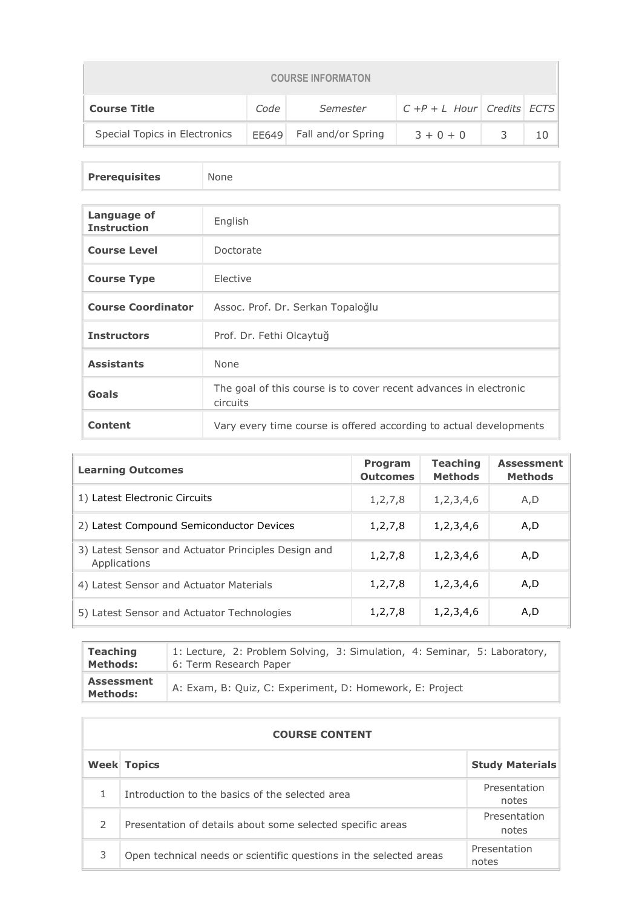| <b>COURSE INFORMATON</b>                                                  |       |                    |             |  |  |  |  |
|---------------------------------------------------------------------------|-------|--------------------|-------------|--|--|--|--|
| $ C + P + L$ Hour Credits ECTS<br><b>Course Title</b><br>Code<br>Semester |       |                    |             |  |  |  |  |
| Special Topics in Electronics                                             | FF649 | Fall and/or Spring | $3 + 0 + 0$ |  |  |  |  |

**Prerequisites** None

| Language of<br><b>Instruction</b> | English                                                                       |
|-----------------------------------|-------------------------------------------------------------------------------|
| <b>Course Level</b>               | Doctorate                                                                     |
| <b>Course Type</b>                | Elective                                                                      |
| <b>Course Coordinator</b>         | Assoc. Prof. Dr. Serkan Topaloğlu                                             |
| <b>Instructors</b>                | Prof. Dr. Fethi Olcaytuğ                                                      |
| <b>Assistants</b>                 | None                                                                          |
| Goals                             | The goal of this course is to cover recent advances in electronic<br>circuits |
| <b>Content</b>                    | Vary every time course is offered according to actual developments            |

| <b>Learning Outcomes</b>                                            | <b>Program</b><br><b>Outcomes</b> | <b>Teaching</b><br><b>Methods</b> | <b>Assessment</b><br><b>Methods</b> |
|---------------------------------------------------------------------|-----------------------------------|-----------------------------------|-------------------------------------|
| 1) Latest Electronic Circuits                                       | 1, 2, 7, 8                        | 1,2,3,4,6                         | A, D                                |
| 2) Latest Compound Semiconductor Devices                            | 1,2,7,8                           | 1,2,3,4,6                         | A,D                                 |
| 3) Latest Sensor and Actuator Principles Design and<br>Applications | 1,2,7,8                           | 1,2,3,4,6                         | A,D                                 |
| 4) Latest Sensor and Actuator Materials                             | 1,2,7,8                           | 1,2,3,4,6                         | A,D                                 |
| 5) Latest Sensor and Actuator Technologies                          | 1,2,7,8                           | 1,2,3,4,6                         | A,D                                 |

| <b>Teaching</b>                      | 1: Lecture, 2: Problem Solving, 3: Simulation, 4: Seminar, 5: Laboratory, |
|--------------------------------------|---------------------------------------------------------------------------|
| <b>Methods:</b>                      | 6: Term Research Paper                                                    |
| <b>Assessment</b><br><b>Methods:</b> | A: Exam, B: Quiz, C: Experiment, D: Homework, E: Project                  |

|               | <b>COURSE CONTENT</b>                                              |                        |  |  |  |
|---------------|--------------------------------------------------------------------|------------------------|--|--|--|
|               | <b>Week Topics</b>                                                 | <b>Study Materials</b> |  |  |  |
|               | Introduction to the basics of the selected area                    | Presentation<br>notes  |  |  |  |
| $\mathcal{P}$ | Presentation of details about some selected specific areas         | Presentation<br>notes  |  |  |  |
| 3             | Open technical needs or scientific questions in the selected areas | Presentation<br>notes  |  |  |  |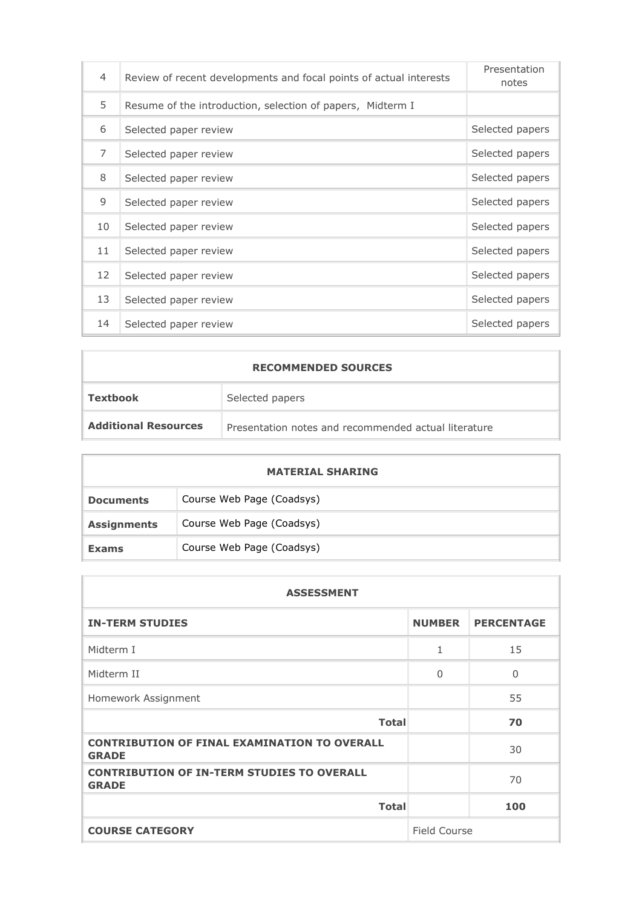| 4              | Review of recent developments and focal points of actual interests | Presentation<br>notes |
|----------------|--------------------------------------------------------------------|-----------------------|
| 5              | Resume of the introduction, selection of papers, Midterm I         |                       |
| 6              | Selected paper review                                              | Selected papers       |
| $\overline{7}$ | Selected paper review                                              | Selected papers       |
| 8              | Selected paper review                                              | Selected papers       |
| 9              | Selected paper review                                              | Selected papers       |
| 10             | Selected paper review                                              | Selected papers       |
| 11             | Selected paper review                                              | Selected papers       |
| 12             | Selected paper review                                              | Selected papers       |
| 13             | Selected paper review                                              | Selected papers       |
| 14             | Selected paper review                                              | Selected papers       |

| <b>RECOMMENDED SOURCES</b>  |                                                      |  |  |
|-----------------------------|------------------------------------------------------|--|--|
| <b>Textbook</b>             | Selected papers                                      |  |  |
| <b>Additional Resources</b> | Presentation notes and recommended actual literature |  |  |
|                             |                                                      |  |  |

| <b>MATERIAL SHARING</b> |                           |  |  |  |
|-------------------------|---------------------------|--|--|--|
| <b>Documents</b>        | Course Web Page (Coadsys) |  |  |  |
| <b>Assignments</b>      | Course Web Page (Coadsys) |  |  |  |
| <b>Exams</b>            | Course Web Page (Coadsys) |  |  |  |

| <b>ASSESSMENT</b>                                                   |                     |                   |  |  |
|---------------------------------------------------------------------|---------------------|-------------------|--|--|
| <b>IN-TERM STUDIES</b>                                              | <b>NUMBER</b>       | <b>PERCENTAGE</b> |  |  |
| Midterm I                                                           | 1                   | 15                |  |  |
| Midterm II                                                          | $\Omega$            | $\Omega$          |  |  |
| Homework Assignment                                                 |                     | 55                |  |  |
| <b>Total</b>                                                        |                     | 70                |  |  |
| <b>CONTRIBUTION OF FINAL EXAMINATION TO OVERALL</b><br><b>GRADE</b> |                     | 30                |  |  |
| <b>CONTRIBUTION OF IN-TERM STUDIES TO OVERALL</b><br><b>GRADE</b>   |                     | 70                |  |  |
| <b>Total</b>                                                        |                     | 100               |  |  |
| <b>COURSE CATEGORY</b>                                              | <b>Field Course</b> |                   |  |  |